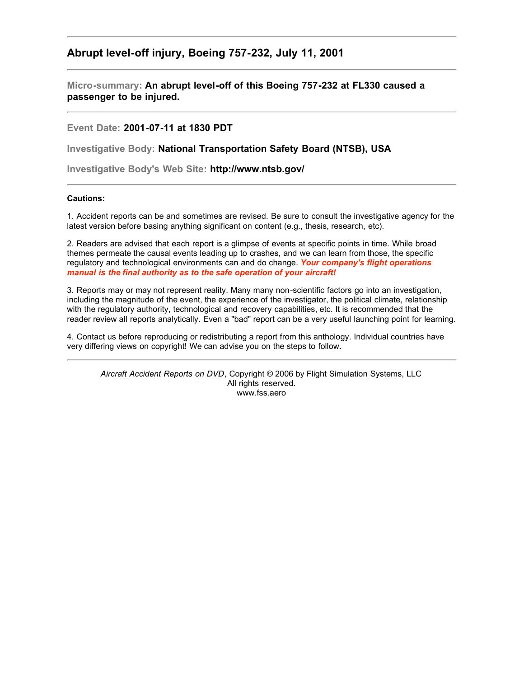# **Abrupt level-off injury, Boeing 757-232, July 11, 2001**

**Micro-summary: An abrupt level-off of this Boeing 757-232 at FL330 caused a passenger to be injured.**

**Event Date: 2001-07-11 at 1830 PDT**

**Investigative Body: National Transportation Safety Board (NTSB), USA**

**Investigative Body's Web Site: http://www.ntsb.gov/**

## **Cautions:**

1. Accident reports can be and sometimes are revised. Be sure to consult the investigative agency for the latest version before basing anything significant on content (e.g., thesis, research, etc).

2. Readers are advised that each report is a glimpse of events at specific points in time. While broad themes permeate the causal events leading up to crashes, and we can learn from those, the specific regulatory and technological environments can and do change. *Your company's flight operations manual is the final authority as to the safe operation of your aircraft!*

3. Reports may or may not represent reality. Many many non-scientific factors go into an investigation, including the magnitude of the event, the experience of the investigator, the political climate, relationship with the regulatory authority, technological and recovery capabilities, etc. It is recommended that the reader review all reports analytically. Even a "bad" report can be a very useful launching point for learning.

4. Contact us before reproducing or redistributing a report from this anthology. Individual countries have very differing views on copyright! We can advise you on the steps to follow.

*Aircraft Accident Reports on DVD*, Copyright © 2006 by Flight Simulation Systems, LLC All rights reserved. www.fss.aero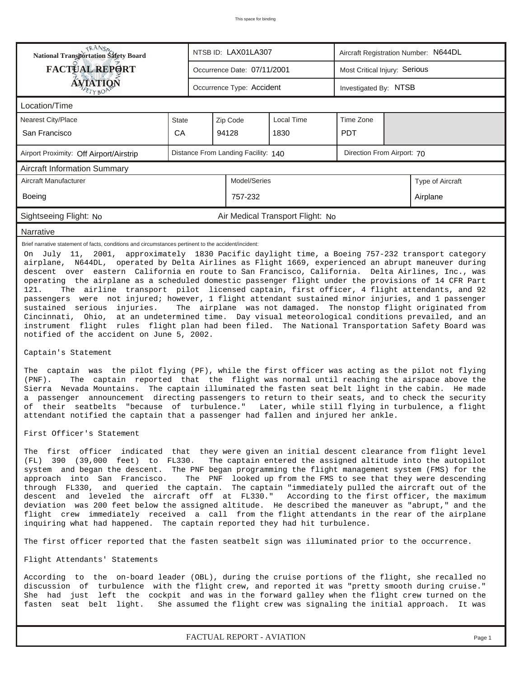| <b>NANSA</b><br>National Transportation Safety Board                                                                                                                                                                                                                                                                                                                                                                                                                                                                                                                                                                                                                                                                                                                                                                                                                                                                                                                                                                                                                                                                                                                                                                                                                                                                    |                                                                   |  | NTSB ID: LAX01LA307         |                                  |                               | Aircraft Registration Number: N644DL |                  |  |  |  |
|-------------------------------------------------------------------------------------------------------------------------------------------------------------------------------------------------------------------------------------------------------------------------------------------------------------------------------------------------------------------------------------------------------------------------------------------------------------------------------------------------------------------------------------------------------------------------------------------------------------------------------------------------------------------------------------------------------------------------------------------------------------------------------------------------------------------------------------------------------------------------------------------------------------------------------------------------------------------------------------------------------------------------------------------------------------------------------------------------------------------------------------------------------------------------------------------------------------------------------------------------------------------------------------------------------------------------|-------------------------------------------------------------------|--|-----------------------------|----------------------------------|-------------------------------|--------------------------------------|------------------|--|--|--|
| <b>FACTUAL REPORT</b>                                                                                                                                                                                                                                                                                                                                                                                                                                                                                                                                                                                                                                                                                                                                                                                                                                                                                                                                                                                                                                                                                                                                                                                                                                                                                                   |                                                                   |  | Occurrence Date: 07/11/2001 |                                  | Most Critical Injury: Serious |                                      |                  |  |  |  |
| <b>ÁVIATION</b>                                                                                                                                                                                                                                                                                                                                                                                                                                                                                                                                                                                                                                                                                                                                                                                                                                                                                                                                                                                                                                                                                                                                                                                                                                                                                                         |                                                                   |  | Occurrence Type: Accident   |                                  |                               | Investigated By: NTSB                |                  |  |  |  |
| Location/Time                                                                                                                                                                                                                                                                                                                                                                                                                                                                                                                                                                                                                                                                                                                                                                                                                                                                                                                                                                                                                                                                                                                                                                                                                                                                                                           |                                                                   |  |                             |                                  |                               |                                      |                  |  |  |  |
| Nearest City/Place                                                                                                                                                                                                                                                                                                                                                                                                                                                                                                                                                                                                                                                                                                                                                                                                                                                                                                                                                                                                                                                                                                                                                                                                                                                                                                      | <b>State</b>                                                      |  | Local Time<br>Zip Code      |                                  |                               |                                      |                  |  |  |  |
| San Francisco                                                                                                                                                                                                                                                                                                                                                                                                                                                                                                                                                                                                                                                                                                                                                                                                                                                                                                                                                                                                                                                                                                                                                                                                                                                                                                           | CA                                                                |  | 94128<br>1830               |                                  |                               |                                      |                  |  |  |  |
| Airport Proximity: Off Airport/Airstrip                                                                                                                                                                                                                                                                                                                                                                                                                                                                                                                                                                                                                                                                                                                                                                                                                                                                                                                                                                                                                                                                                                                                                                                                                                                                                 | Distance From Landing Facility: 140<br>Direction From Airport: 70 |  |                             |                                  |                               |                                      |                  |  |  |  |
| <b>Aircraft Information Summary</b>                                                                                                                                                                                                                                                                                                                                                                                                                                                                                                                                                                                                                                                                                                                                                                                                                                                                                                                                                                                                                                                                                                                                                                                                                                                                                     |                                                                   |  |                             |                                  |                               |                                      |                  |  |  |  |
| Aircraft Manufacturer                                                                                                                                                                                                                                                                                                                                                                                                                                                                                                                                                                                                                                                                                                                                                                                                                                                                                                                                                                                                                                                                                                                                                                                                                                                                                                   |                                                                   |  | Model/Series                |                                  |                               |                                      | Type of Aircraft |  |  |  |
| Boeing                                                                                                                                                                                                                                                                                                                                                                                                                                                                                                                                                                                                                                                                                                                                                                                                                                                                                                                                                                                                                                                                                                                                                                                                                                                                                                                  |                                                                   |  | 757-232                     |                                  |                               |                                      | Airplane         |  |  |  |
| Sightseeing Flight: No                                                                                                                                                                                                                                                                                                                                                                                                                                                                                                                                                                                                                                                                                                                                                                                                                                                                                                                                                                                                                                                                                                                                                                                                                                                                                                  |                                                                   |  |                             | Air Medical Transport Flight: No |                               |                                      |                  |  |  |  |
| Narrative                                                                                                                                                                                                                                                                                                                                                                                                                                                                                                                                                                                                                                                                                                                                                                                                                                                                                                                                                                                                                                                                                                                                                                                                                                                                                                               |                                                                   |  |                             |                                  |                               |                                      |                  |  |  |  |
| descent over eastern California en route to San Francisco, California. Delta Airlines, Inc., was<br>operating the airplane as a scheduled domestic passenger flight under the provisions of 14 CFR Part<br>The airline transport pilot licensed captain, first officer, 4 flight attendants, and 92<br>121.<br>passengers were not injured; however, 1 flight attendant sustained minor injuries, and 1 passenger<br>sustained serious injuries.<br>The airplane was not damaged. The nonstop flight originated from<br>Cincinnati, Ohio, at an undetermined time. Day visual meteorological conditions prevailed, and an<br>instrument flight rules flight plan had been filed. The National Transportation Safety Board was<br>notified of the accident on June 5, 2002.<br>Captain's Statement<br>The captain was the pilot flying (PF), while the first officer was acting as the pilot not flying<br>The captain reported that the flight was normal until reaching the airspace above the<br>$(PNF)$ .<br>Sierra Nevada Mountains. The captain illuminated the fasten seat belt light in the cabin. He made<br>a passenger announcement directing passengers to return to their seats, and to check the security<br>of their seatbelts "because of turbulence." Later, while still flying in turbulence, a flight |                                                                   |  |                             |                                  |                               |                                      |                  |  |  |  |
| First Officer's Statement                                                                                                                                                                                                                                                                                                                                                                                                                                                                                                                                                                                                                                                                                                                                                                                                                                                                                                                                                                                                                                                                                                                                                                                                                                                                                               |                                                                   |  |                             |                                  |                               |                                      |                  |  |  |  |
| The first officer indicated that they were given an initial descent clearance from flight level<br>(FL) 390 (39,000 feet) to FL330.<br>The captain entered the assigned altitude into the autopilot<br>system and began the descent. The PNF began programming the flight management system (FMS) for the<br>approach into San Francisco.<br>The PNF looked up from the FMS to see that they were descending<br>through FL330, and queried the captain. The captain "immediately pulled the aircraft out of the<br>descent and leveled the aircraft off at FL330." According to the first officer, the maximum<br>deviation was 200 feet below the assigned altitude. He described the maneuver as "abrupt," and the<br>flight crew immediately received a call from the flight attendants in the rear of the airplane<br>inquiring what had happened. The captain reported they had hit turbulence.                                                                                                                                                                                                                                                                                                                                                                                                                    |                                                                   |  |                             |                                  |                               |                                      |                  |  |  |  |
| The first officer reported that the fasten seatbelt sign was illuminated prior to the occurrence.                                                                                                                                                                                                                                                                                                                                                                                                                                                                                                                                                                                                                                                                                                                                                                                                                                                                                                                                                                                                                                                                                                                                                                                                                       |                                                                   |  |                             |                                  |                               |                                      |                  |  |  |  |
| Flight Attendants' Statements                                                                                                                                                                                                                                                                                                                                                                                                                                                                                                                                                                                                                                                                                                                                                                                                                                                                                                                                                                                                                                                                                                                                                                                                                                                                                           |                                                                   |  |                             |                                  |                               |                                      |                  |  |  |  |
| According to the on-board leader (OBL), during the cruise portions of the flight, she recalled no<br>discussion of turbulence with the flight crew, and reported it was "pretty smooth during cruise."<br>She had just left the cockpit and was in the forward galley when the flight crew turned on the<br>She assumed the flight crew was signaling the initial approach. It was<br>fasten seat belt light.                                                                                                                                                                                                                                                                                                                                                                                                                                                                                                                                                                                                                                                                                                                                                                                                                                                                                                           |                                                                   |  |                             |                                  |                               |                                      |                  |  |  |  |

*FACTUAL REPORT - AVIATION Page 1*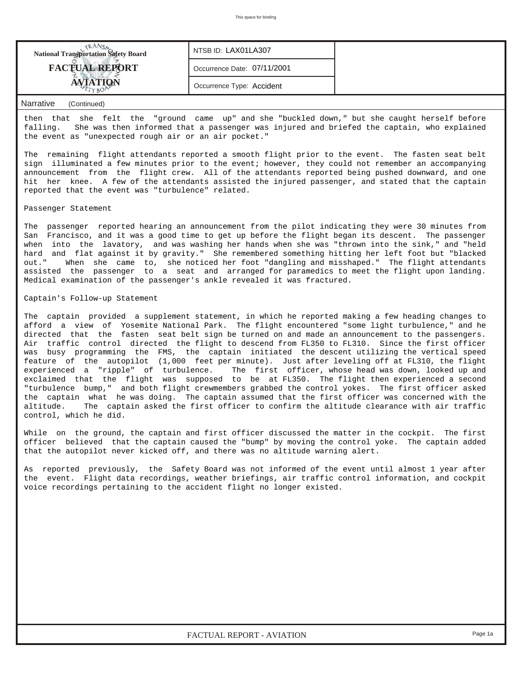| <b>National Transportation Safety Board</b> | NTSB ID: LAX01LA307         |  |
|---------------------------------------------|-----------------------------|--|
| <b>FACTUAL REPORT</b>                       | Occurrence Date: 07/11/2001 |  |
|                                             | Occurrence Type: Accident   |  |

### *Narrative (Continued)*

then that she felt the "ground came up" and she "buckled down," but she caught herself before falling. She was then informed that a passenger was injured and briefed the captain, who explained the event as "unexpected rough air or an air pocket."

The remaining flight attendants reported a smooth flight prior to the event. The fasten seat belt sign illuminated a few minutes prior to the event; however, they could not remember an accompanying announcement from the flight crew. All of the attendants reported being pushed downward, and one hit her knee. A few of the attendants assisted the injured passenger, and stated that the captain reported that the event was "turbulence" related.

#### Passenger Statement

The passenger reported hearing an announcement from the pilot indicating they were 30 minutes from San Francisco, and it was a good time to get up before the flight began its descent. The passenger when into the lavatory, and was washing her hands when she was "thrown into the sink," and "held hard and flat against it by gravity." She remembered something hitting her left foot but "blacked out." When she came to, she noticed her foot "dangling and misshaped." The flight attendants assisted the passenger to a seat and arranged for paramedics to meet the flight upon landing. Medical examination of the passenger's ankle revealed it was fractured.

### Captain's Follow-up Statement

The captain provided a supplement statement, in which he reported making a few heading changes to afford a view of Yosemite National Park. The flight encountered "some light turbulence," and he directed that the fasten seat belt sign be turned on and made an announcement to the passengers. Air traffic control directed the flight to descend from FL350 to FL310. Since the first officer was busy programming the FMS, the captain initiated the descent utilizing the vertical speed feature of the autopilot (1,000 feet per minute). Just after leveling off at FL310, the flight experienced a "ripple" of turbulence. The first officer, whose head was down, looked up and exclaimed that the flight was supposed to be at FL350. The flight then experienced a second "turbulence bump," and both flight crewmembers grabbed the control yokes. The first officer asked the captain what he was doing. The captain assumed that the first officer was concerned with the altitude. The captain asked the first officer to confirm the altitude clearance with air traffic control, which he did.

While on the ground, the captain and first officer discussed the matter in the cockpit. The first officer believed that the captain caused the "bump" by moving the control yoke. The captain added that the autopilot never kicked off, and there was no altitude warning alert.

As reported previously, the Safety Board was not informed of the event until almost 1 year after the event. Flight data recordings, weather briefings, air traffic control information, and cockpit voice recordings pertaining to the accident flight no longer existed.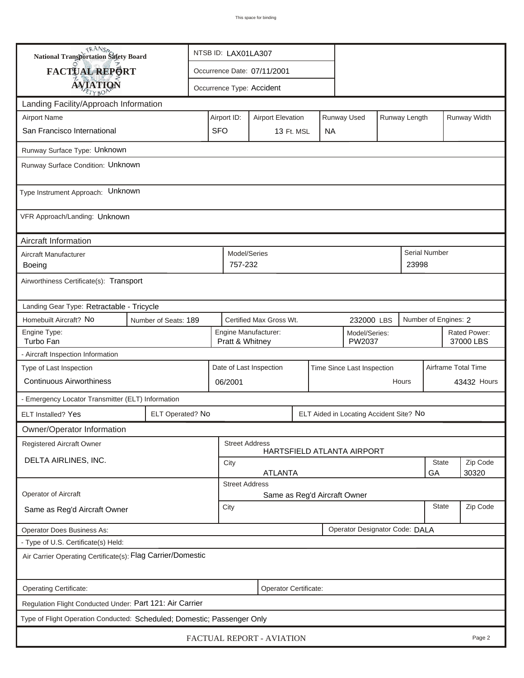| <b>National Transportation Safety Board</b>                             |                      | NTSB ID: LAX01LA307                                                     |                                                       |                           |  |           |                                         |  |          |                           |          |  |
|-------------------------------------------------------------------------|----------------------|-------------------------------------------------------------------------|-------------------------------------------------------|---------------------------|--|-----------|-----------------------------------------|--|----------|---------------------------|----------|--|
| FACTUAL REPORT                                                          |                      | Occurrence Date: 07/11/2001                                             |                                                       |                           |  |           |                                         |  |          |                           |          |  |
| <b>AVIATION</b>                                                         |                      |                                                                         |                                                       | Occurrence Type: Accident |  |           |                                         |  |          |                           |          |  |
| Landing Facility/Approach Information                                   |                      |                                                                         |                                                       |                           |  |           |                                         |  |          |                           |          |  |
| <b>Airport Name</b>                                                     |                      | Airport ID:<br>Runway Used<br>Runway Length<br><b>Airport Elevation</b> |                                                       |                           |  |           |                                         |  |          | Runway Width              |          |  |
| San Francisco International                                             |                      | <b>SFO</b>                                                              |                                                       | 13 Ft. MSL                |  | <b>NA</b> |                                         |  |          |                           |          |  |
| Runway Surface Type: Unknown                                            |                      |                                                                         |                                                       |                           |  |           |                                         |  |          |                           |          |  |
| Runway Surface Condition: Unknown                                       |                      |                                                                         |                                                       |                           |  |           |                                         |  |          |                           |          |  |
| Type Instrument Approach: Unknown                                       |                      |                                                                         |                                                       |                           |  |           |                                         |  |          |                           |          |  |
| VFR Approach/Landing: Unknown                                           |                      |                                                                         |                                                       |                           |  |           |                                         |  |          |                           |          |  |
| Aircraft Information                                                    |                      |                                                                         |                                                       |                           |  |           |                                         |  |          |                           |          |  |
| Aircraft Manufacturer<br>Boeing                                         |                      |                                                                         | Model/Series<br>757-232                               |                           |  |           |                                         |  | 23998    | Serial Number             |          |  |
| Airworthiness Certificate(s): Transport                                 |                      |                                                                         |                                                       |                           |  |           |                                         |  |          |                           |          |  |
| Landing Gear Type: Retractable - Tricycle                               |                      |                                                                         |                                                       |                           |  |           |                                         |  |          |                           |          |  |
| Homebuilt Aircraft? No                                                  | Number of Seats: 189 |                                                                         | Certified Max Gross Wt.<br>232000 LBS                 |                           |  |           |                                         |  |          | Number of Engines: 2      |          |  |
| Engine Type:<br>Turbo Fan                                               |                      |                                                                         | Pratt & Whitney                                       | Engine Manufacturer:      |  |           | Model/Series:<br>PW2037                 |  |          | Rated Power:<br>37000 LBS |          |  |
| - Aircraft Inspection Information                                       |                      |                                                                         |                                                       |                           |  |           |                                         |  |          |                           |          |  |
| Type of Last Inspection                                                 |                      |                                                                         | Date of Last Inspection<br>Time Since Last Inspection |                           |  |           |                                         |  |          | Airframe Total Time       |          |  |
| <b>Continuous Airworthiness</b>                                         |                      |                                                                         | 06/2001<br>Hours                                      |                           |  |           |                                         |  |          | 43432 Hours               |          |  |
| - Emergency Locator Transmitter (ELT) Information                       |                      |                                                                         |                                                       |                           |  |           |                                         |  |          |                           |          |  |
| <b>ELT Installed? Yes</b>                                               | ELT Operated? No     |                                                                         |                                                       |                           |  |           | ELT Aided in Locating Accident Site? No |  |          |                           |          |  |
| Owner/Operator Information                                              |                      |                                                                         |                                                       |                           |  |           |                                         |  |          |                           |          |  |
| Registered Aircraft Owner                                               |                      |                                                                         | <b>Street Address</b>                                 |                           |  |           | HARTSFIELD ATLANTA AIRPORT              |  |          |                           |          |  |
| DELTA AIRLINES, INC.                                                    |                      |                                                                         | City                                                  |                           |  |           |                                         |  |          | State                     | Zip Code |  |
|                                                                         |                      | <b>ATLANTA</b><br>30320<br>GA<br><b>Street Address</b>                  |                                                       |                           |  |           |                                         |  |          |                           |          |  |
| Operator of Aircraft                                                    |                      | Same as Reg'd Aircraft Owner                                            |                                                       |                           |  |           |                                         |  |          |                           |          |  |
| Same as Reg'd Aircraft Owner                                            |                      | <b>State</b><br>City                                                    |                                                       |                           |  |           |                                         |  | Zip Code |                           |          |  |
| Operator Does Business As:                                              |                      |                                                                         |                                                       |                           |  |           | Operator Designator Code: DALA          |  |          |                           |          |  |
| - Type of U.S. Certificate(s) Held:                                     |                      |                                                                         |                                                       |                           |  |           |                                         |  |          |                           |          |  |
| Air Carrier Operating Certificate(s): Flag Carrier/Domestic             |                      |                                                                         |                                                       |                           |  |           |                                         |  |          |                           |          |  |
| Operating Certificate:                                                  |                      |                                                                         |                                                       | Operator Certificate:     |  |           |                                         |  |          |                           |          |  |
| Regulation Flight Conducted Under: Part 121: Air Carrier                |                      |                                                                         |                                                       |                           |  |           |                                         |  |          |                           |          |  |
| Type of Flight Operation Conducted: Scheduled; Domestic; Passenger Only |                      |                                                                         |                                                       |                           |  |           |                                         |  |          |                           |          |  |
| FACTUAL REPORT - AVIATION<br>Page 2                                     |                      |                                                                         |                                                       |                           |  |           |                                         |  |          |                           |          |  |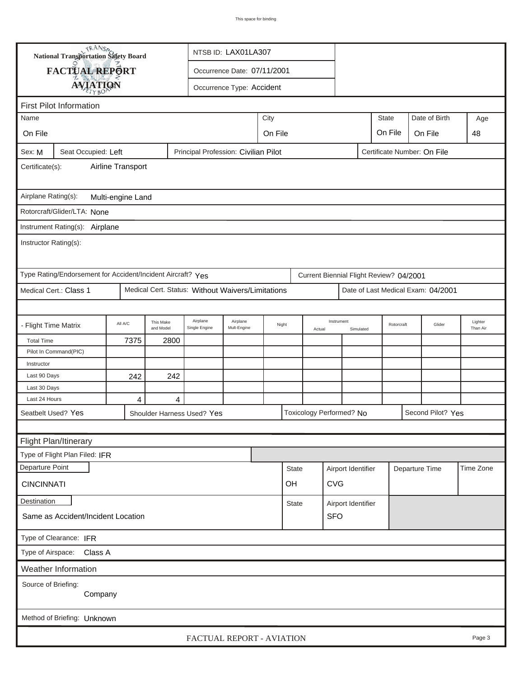| <b>National Transportation Safety Board</b>                                                          |                                                             |         |                        |                                                   | NTSB ID: LAX01LA307     |  |                             |                                       |                          |                    |                                         |                |                                    |                     |  |
|------------------------------------------------------------------------------------------------------|-------------------------------------------------------------|---------|------------------------|---------------------------------------------------|-------------------------|--|-----------------------------|---------------------------------------|--------------------------|--------------------|-----------------------------------------|----------------|------------------------------------|---------------------|--|
|                                                                                                      | FACTUAL REPORT<br>Occurrence Date: 07/11/2001               |         |                        |                                                   |                         |  |                             |                                       |                          |                    |                                         |                |                                    |                     |  |
|                                                                                                      | <b>AVIATION</b>                                             |         |                        | Occurrence Type: Accident                         |                         |  |                             |                                       |                          |                    |                                         |                |                                    |                     |  |
|                                                                                                      |                                                             |         |                        |                                                   |                         |  |                             |                                       |                          |                    |                                         |                |                                    |                     |  |
| <b>First Pilot Information</b><br>Age                                                                |                                                             |         |                        |                                                   |                         |  |                             |                                       |                          |                    |                                         |                |                                    |                     |  |
| Name                                                                                                 |                                                             |         |                        |                                                   |                         |  |                             | Date of Birth<br><b>State</b><br>City |                          |                    |                                         |                |                                    |                     |  |
| On File                                                                                              |                                                             |         |                        | On File<br>On File<br>On File                     |                         |  |                             |                                       |                          |                    |                                         |                |                                    | 48                  |  |
| Principal Profession: Civilian Pilot<br>Certificate Number: On File<br>Seat Occupied: Left<br>Sex: M |                                                             |         |                        |                                                   |                         |  |                             |                                       |                          |                    |                                         |                |                                    |                     |  |
| Airline Transport<br>Certificate(s):                                                                 |                                                             |         |                        |                                                   |                         |  |                             |                                       |                          |                    |                                         |                |                                    |                     |  |
| Airplane Rating(s):<br>Multi-engine Land                                                             |                                                             |         |                        |                                                   |                         |  |                             |                                       |                          |                    |                                         |                |                                    |                     |  |
| Rotorcraft/Glider/LTA: None                                                                          |                                                             |         |                        |                                                   |                         |  |                             |                                       |                          |                    |                                         |                |                                    |                     |  |
|                                                                                                      |                                                             |         |                        |                                                   |                         |  |                             |                                       |                          |                    |                                         |                |                                    |                     |  |
| Instrument Rating(s): Airplane<br>Instructor Rating(s):                                              |                                                             |         |                        |                                                   |                         |  |                             |                                       |                          |                    |                                         |                |                                    |                     |  |
|                                                                                                      | Type Rating/Endorsement for Accident/Incident Aircraft? Yes |         |                        |                                                   |                         |  |                             |                                       |                          |                    | Current Biennial Flight Review? 04/2001 |                |                                    |                     |  |
|                                                                                                      | Medical Cert.: Class 1                                      |         |                        | Medical Cert. Status: Without Waivers/Limitations |                         |  |                             |                                       |                          |                    |                                         |                | Date of Last Medical Exam: 04/2001 |                     |  |
|                                                                                                      |                                                             |         |                        |                                                   |                         |  |                             |                                       |                          |                    |                                         |                |                                    |                     |  |
| - Flight Time Matrix                                                                                 |                                                             | All A/C | This Make<br>and Model | Airplane<br>Single Engine                         | Airplane<br>Mult-Engine |  | Night                       | Instrument<br>Actual                  |                          | Simulated          | Rotorcraft                              |                | Glider                             | Lighter<br>Than Air |  |
| <b>Total Time</b>                                                                                    |                                                             | 7375    | 2800                   |                                                   |                         |  |                             |                                       |                          |                    |                                         |                |                                    |                     |  |
|                                                                                                      | Pilot In Command(PIC)                                       |         |                        |                                                   |                         |  |                             |                                       |                          |                    |                                         |                |                                    |                     |  |
| Instructor                                                                                           |                                                             |         |                        |                                                   |                         |  |                             |                                       |                          |                    |                                         |                |                                    |                     |  |
| Last 90 Days                                                                                         |                                                             | 242     | 242                    |                                                   |                         |  |                             |                                       |                          |                    |                                         |                |                                    |                     |  |
| Last 30 Days<br>Last 24 Hours                                                                        |                                                             | 4       | $\overline{4}$         |                                                   |                         |  |                             |                                       |                          |                    |                                         |                |                                    |                     |  |
|                                                                                                      | Seatbelt Used? Yes                                          |         |                        | Shoulder Harness Used? Yes                        |                         |  |                             |                                       | Toxicology Performed? No |                    |                                         |                | Second Pilot? Yes                  |                     |  |
|                                                                                                      |                                                             |         |                        |                                                   |                         |  |                             |                                       |                          |                    |                                         |                |                                    |                     |  |
|                                                                                                      |                                                             |         |                        |                                                   |                         |  |                             |                                       |                          |                    |                                         |                |                                    |                     |  |
|                                                                                                      | Flight Plan/Itinerary<br>Type of Flight Plan Filed: IFR     |         |                        |                                                   |                         |  |                             |                                       |                          |                    |                                         |                |                                    |                     |  |
| Departure Point                                                                                      |                                                             |         |                        |                                                   |                         |  |                             |                                       |                          |                    |                                         |                |                                    | Time Zone           |  |
|                                                                                                      |                                                             |         |                        |                                                   |                         |  | <b>State</b>                |                                       |                          | Airport Identifier |                                         | Departure Time |                                    |                     |  |
| <b>CINCINNATI</b>                                                                                    |                                                             |         |                        |                                                   |                         |  | OH                          |                                       | <b>CVG</b>               |                    |                                         |                |                                    |                     |  |
| Destination                                                                                          |                                                             |         |                        |                                                   |                         |  | State<br>Airport Identifier |                                       |                          |                    |                                         |                |                                    |                     |  |
|                                                                                                      | Same as Accident/Incident Location                          |         |                        |                                                   |                         |  |                             |                                       | <b>SFO</b>               |                    |                                         |                |                                    |                     |  |
| Type of Clearance: IFR                                                                               |                                                             |         |                        |                                                   |                         |  |                             |                                       |                          |                    |                                         |                |                                    |                     |  |
| Type of Airspace: Class A                                                                            |                                                             |         |                        |                                                   |                         |  |                             |                                       |                          |                    |                                         |                |                                    |                     |  |
|                                                                                                      | Weather Information                                         |         |                        |                                                   |                         |  |                             |                                       |                          |                    |                                         |                |                                    |                     |  |
| Source of Briefing:<br>Company                                                                       |                                                             |         |                        |                                                   |                         |  |                             |                                       |                          |                    |                                         |                |                                    |                     |  |
| Method of Briefing: Unknown                                                                          |                                                             |         |                        |                                                   |                         |  |                             |                                       |                          |                    |                                         |                |                                    |                     |  |
|                                                                                                      | FACTUAL REPORT - AVIATION<br>Page 3                         |         |                        |                                                   |                         |  |                             |                                       |                          |                    |                                         |                |                                    |                     |  |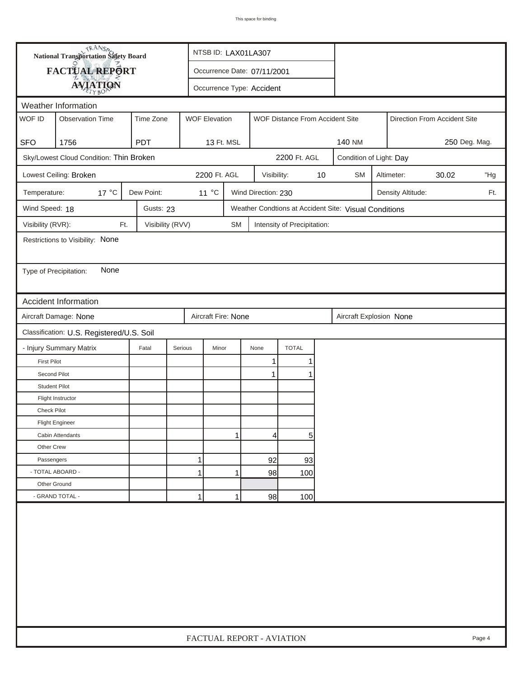|                                              | <b>National Transportation Safety Board</b> |                  | NTSB ID: LAX01LA307  |           |                     |                                 |    |                                                       |                         |                              |               |     |  |
|----------------------------------------------|---------------------------------------------|------------------|----------------------|-----------|---------------------|---------------------------------|----|-------------------------------------------------------|-------------------------|------------------------------|---------------|-----|--|
| FACTUAL REPORT                               | Occurrence Date: 07/11/2001                 |                  |                      |           |                     |                                 |    |                                                       |                         |                              |               |     |  |
| <b>AVIATION</b><br>Occurrence Type: Accident |                                             |                  |                      |           |                     |                                 |    |                                                       |                         |                              |               |     |  |
|                                              | Weather Information                         |                  |                      |           |                     |                                 |    |                                                       |                         |                              |               |     |  |
| WOF ID                                       | <b>Observation Time</b>                     | Time Zone        | <b>WOF Elevation</b> |           |                     | WOF Distance From Accident Site |    |                                                       |                         | Direction From Accident Site |               |     |  |
|                                              |                                             |                  |                      |           |                     |                                 |    |                                                       |                         |                              |               |     |  |
| <b>SFO</b>                                   | 1756                                        | <b>PDT</b>       | 13 Ft. MSL           |           |                     |                                 |    | 140 NM                                                |                         |                              | 250 Deg. Mag. |     |  |
|                                              | Sky/Lowest Cloud Condition: Thin Broken     |                  |                      |           |                     | 2200 Ft. AGL                    |    |                                                       | Condition of Light: Day |                              |               |     |  |
|                                              | Lowest Ceiling: Broken                      |                  | 2200 Ft. AGL         |           | Visibility:         |                                 | 10 | <b>SM</b>                                             |                         | Altimeter:                   | 30.02         | "Hg |  |
| Temperature:                                 | $17^{\circ}$ C                              | Dew Point:       | 11 °C                |           | Wind Direction: 230 |                                 |    |                                                       |                         | Density Altitude:            |               | Ft. |  |
| Wind Speed: 18                               |                                             | Gusts: 23        |                      |           |                     |                                 |    | Weather Condtions at Accident Site: Visual Conditions |                         |                              |               |     |  |
| Visibility (RVR):                            | Ft.                                         | Visibility (RVV) |                      | <b>SM</b> |                     | Intensity of Precipitation:     |    |                                                       |                         |                              |               |     |  |
|                                              | Restrictions to Visibility: None            |                  |                      |           |                     |                                 |    |                                                       |                         |                              |               |     |  |
|                                              |                                             |                  |                      |           |                     |                                 |    |                                                       |                         |                              |               |     |  |
| Type of Precipitation:                       | None                                        |                  |                      |           |                     |                                 |    |                                                       |                         |                              |               |     |  |
|                                              |                                             |                  |                      |           |                     |                                 |    |                                                       |                         |                              |               |     |  |
|                                              | Accident Information                        |                  |                      |           |                     |                                 |    |                                                       |                         |                              |               |     |  |
|                                              | Aircraft Damage: None                       |                  | Aircraft Fire: None  |           |                     |                                 |    | Aircraft Explosion None                               |                         |                              |               |     |  |
|                                              | Classification: U.S. Registered/U.S. Soil   |                  |                      |           |                     |                                 |    |                                                       |                         |                              |               |     |  |
|                                              | - Injury Summary Matrix                     | Fatal            | Serious<br>Minor     |           | None                | <b>TOTAL</b>                    |    |                                                       |                         |                              |               |     |  |
| <b>First Pilot</b>                           |                                             |                  |                      |           | 1                   |                                 |    |                                                       |                         |                              |               |     |  |
| Second Pilot                                 |                                             |                  |                      |           | $\mathbf{1}$        |                                 |    |                                                       |                         |                              |               |     |  |
| <b>Student Pilot</b>                         |                                             |                  |                      |           |                     |                                 |    |                                                       |                         |                              |               |     |  |
|                                              | Flight Instructor                           |                  |                      |           |                     |                                 |    |                                                       |                         |                              |               |     |  |
| Check Pilot                                  |                                             |                  |                      |           |                     |                                 |    |                                                       |                         |                              |               |     |  |
|                                              | <b>Flight Engineer</b>                      |                  |                      |           |                     |                                 |    |                                                       |                         |                              |               |     |  |
|                                              | Cabin Attendants                            |                  |                      | 1         | 4                   | 5                               |    |                                                       |                         |                              |               |     |  |
| Other Crew                                   |                                             |                  |                      |           |                     |                                 |    |                                                       |                         |                              |               |     |  |
| Passengers                                   |                                             |                  | 1                    |           | 92                  | 93                              |    |                                                       |                         |                              |               |     |  |
| - TOTAL ABOARD -                             |                                             |                  | 1                    | 1         | 98                  | 100                             |    |                                                       |                         |                              |               |     |  |
| Other Ground                                 |                                             |                  |                      |           |                     |                                 |    |                                                       |                         |                              |               |     |  |
|                                              | - GRAND TOTAL -                             |                  | 1                    | 1         | 98                  | 100                             |    |                                                       |                         |                              |               |     |  |
|                                              |                                             |                  |                      |           |                     |                                 |    |                                                       |                         |                              |               |     |  |
|                                              | FACTUAL REPORT - AVIATION<br>Page 4         |                  |                      |           |                     |                                 |    |                                                       |                         |                              |               |     |  |